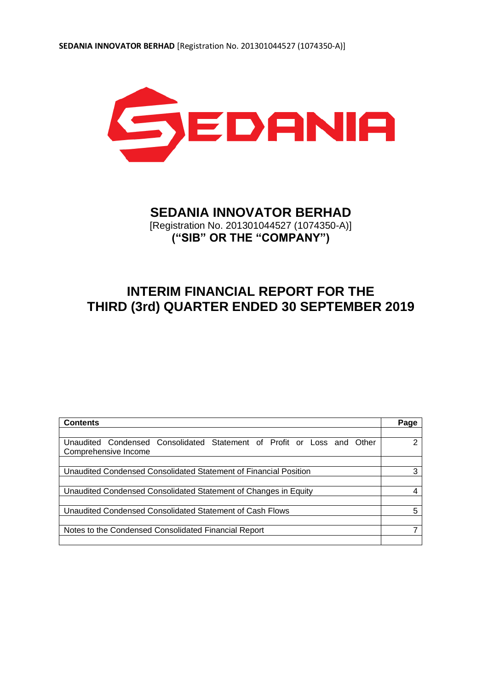

# **SEDANIA INNOVATOR BERHAD**

[Registration No. 201301044527 (1074350-A)] **("SIB" OR THE "COMPANY")**

# **INTERIM FINANCIAL REPORT FOR THE THIRD (3rd) QUARTER ENDED 30 SEPTEMBER 2019**

| <b>Contents</b>                                                           | Page |
|---------------------------------------------------------------------------|------|
|                                                                           |      |
| Unaudited Condensed Consolidated Statement of Profit or Loss and<br>Other | າ    |
| Comprehensive Income                                                      |      |
|                                                                           |      |
| Unaudited Condensed Consolidated Statement of Financial Position          | 3    |
|                                                                           |      |
| Unaudited Condensed Consolidated Statement of Changes in Equity           |      |
|                                                                           |      |
| Unaudited Condensed Consolidated Statement of Cash Flows                  | 5    |
|                                                                           |      |
| Notes to the Condensed Consolidated Financial Report                      |      |
|                                                                           |      |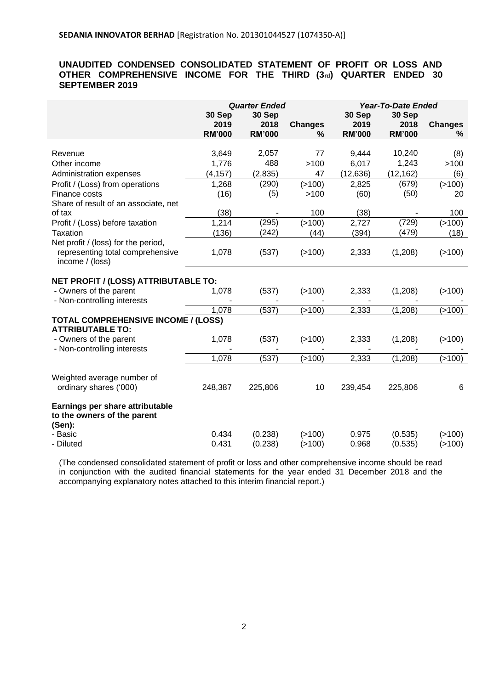# **UNAUDITED CONDENSED CONSOLIDATED STATEMENT OF PROFIT OR LOSS AND OTHER COMPREHENSIVE INCOME FOR THE THIRD (3rd) QUARTER ENDED 30 SEPTEMBER 2019**

|                                                                          | <b>Quarter Ended</b><br>30 Sep<br>30 Sep |                       |                     | 30 Sep                | <b>Year-To-Date Ended</b>       |                     |
|--------------------------------------------------------------------------|------------------------------------------|-----------------------|---------------------|-----------------------|---------------------------------|---------------------|
|                                                                          | 2019<br><b>RM'000</b>                    | 2018<br><b>RM'000</b> | <b>Changes</b><br>% | 2019<br><b>RM'000</b> | 30 Sep<br>2018<br><b>RM'000</b> | <b>Changes</b><br>% |
| Revenue                                                                  | 3,649                                    | 2,057                 | 77                  | 9,444                 | 10,240                          | (8)                 |
| Other income                                                             | 1,776                                    | 488                   | >100                | 6,017                 | 1,243                           | >100                |
| Administration expenses                                                  | (4, 157)                                 | (2,835)               | 47                  | (12, 636)             | (12, 162)                       | (6)                 |
| Profit / (Loss) from operations                                          | 1,268                                    | (290)                 | ( > 100)            | 2,825                 | (679)                           | ( > 100)            |
| Finance costs                                                            | (16)                                     | (5)                   | >100                | (60)                  | (50)                            | 20                  |
| Share of result of an associate, net                                     |                                          |                       |                     |                       |                                 |                     |
| of tax                                                                   | (38)                                     |                       | 100                 | (38)                  |                                 | 100                 |
| Profit / (Loss) before taxation                                          | 1,214                                    | (295)                 | ( > 100)            | 2,727                 | (729)                           | ( > 100)            |
| <b>Taxation</b>                                                          | (136)                                    | (242)                 | (44)                | (394)                 | (479)                           | (18)                |
| Net profit / (loss) for the period,                                      |                                          |                       |                     |                       |                                 |                     |
| representing total comprehensive<br>income / (loss)                      | 1,078                                    | (537)                 | (>100)              | 2,333                 | (1,208)                         | ( > 100)            |
| NET PROFIT / (LOSS) ATTRIBUTABLE TO:                                     |                                          |                       |                     |                       |                                 |                     |
| - Owners of the parent<br>- Non-controlling interests                    | 1,078                                    | (537)                 | (>100)              | 2,333                 | (1,208)                         | ( > 100)            |
|                                                                          | 1,078                                    | (537)                 | (>100)              | 2,333                 | (1, 208)                        | (>100)              |
| <b>TOTAL COMPREHENSIVE INCOME / (LOSS)</b><br><b>ATTRIBUTABLE TO:</b>    |                                          |                       |                     |                       |                                 |                     |
| - Owners of the parent<br>- Non-controlling interests                    | 1,078                                    | (537)                 | (>100)              | 2,333                 | (1,208)                         | ( > 100)            |
|                                                                          | 1,078                                    | (537)                 | (>100)              | 2,333                 | (1, 208)                        | (>100)              |
| Weighted average number of<br>ordinary shares ('000)                     | 248,387                                  | 225,806               | 10                  | 239,454               | 225,806                         | 6                   |
| Earnings per share attributable<br>to the owners of the parent<br>(Sen): |                                          |                       |                     |                       |                                 |                     |
| - Basic                                                                  | 0.434                                    | (0.238)               | ( > 100)            | 0.975                 | (0.535)                         | ( > 100)            |
| - Diluted                                                                | 0.431                                    | (0.238)               | (>100)              | 0.968                 | (0.535)                         | ( > 100)            |

(The condensed consolidated statement of profit or loss and other comprehensive income should be read in conjunction with the audited financial statements for the year ended 31 December 2018 and the accompanying explanatory notes attached to this interim financial report.)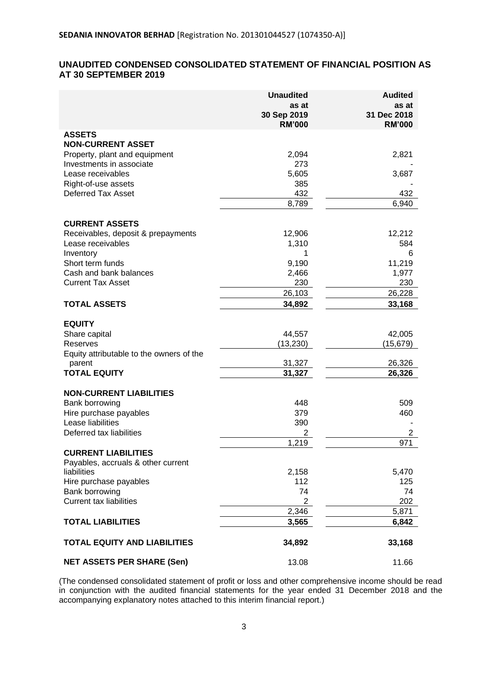# **UNAUDITED CONDENSED CONSOLIDATED STATEMENT OF FINANCIAL POSITION AS AT 30 SEPTEMBER 2019**

|                                          | <b>Unaudited</b>             | <b>Audited</b>               |
|------------------------------------------|------------------------------|------------------------------|
|                                          | as at                        | as at                        |
|                                          | 30 Sep 2019<br><b>RM'000</b> | 31 Dec 2018<br><b>RM'000</b> |
| <b>ASSETS</b>                            |                              |                              |
| <b>NON-CURRENT ASSET</b>                 |                              |                              |
| Property, plant and equipment            | 2,094                        | 2,821                        |
| Investments in associate                 | 273                          |                              |
| Lease receivables                        | 5,605                        | 3,687                        |
| Right-of-use assets                      | 385                          |                              |
| <b>Deferred Tax Asset</b>                | 432                          | 432                          |
|                                          | 8,789                        | 6,940                        |
| <b>CURRENT ASSETS</b>                    |                              |                              |
| Receivables, deposit & prepayments       | 12,906                       | 12,212                       |
| Lease receivables                        | 1,310                        | 584                          |
| Inventory                                | 1                            | 6                            |
| Short term funds                         | 9,190                        | 11,219                       |
| Cash and bank balances                   | 2,466                        | 1,977                        |
| <b>Current Tax Asset</b>                 | 230                          | 230                          |
|                                          | 26,103                       | 26,228                       |
| <b>TOTAL ASSETS</b>                      | 34,892                       | 33,168                       |
| <b>EQUITY</b>                            |                              |                              |
| Share capital                            | 44,557                       | 42,005                       |
| Reserves                                 | (13, 230)                    | (15, 679)                    |
| Equity attributable to the owners of the |                              |                              |
| parent                                   | 31,327                       | 26,326                       |
| <b>TOTAL EQUITY</b>                      | 31,327                       | 26,326                       |
| <b>NON-CURRENT LIABILITIES</b>           |                              |                              |
| Bank borrowing                           | 448                          | 509                          |
| Hire purchase payables                   | 379                          | 460                          |
| Lease liabilities                        | 390                          |                              |
| Deferred tax liabilities                 | 2                            | $\overline{2}$               |
|                                          | 1,219                        | 971                          |
| <b>CURRENT LIABILITIES</b>               |                              |                              |
| Payables, accruals & other current       |                              |                              |
| liabilities                              | 2,158                        | 5,470                        |
| Hire purchase payables                   | 112                          | 125                          |
| Bank borrowing                           | 74                           | 74                           |
| <b>Current tax liabilities</b>           | $\overline{2}$               | 202                          |
| <b>TOTAL LIABILITIES</b>                 | 2,346                        | 5,871                        |
|                                          | 3,565                        | 6,842                        |
| <b>TOTAL EQUITY AND LIABILITIES</b>      | 34,892                       | 33,168                       |
| <b>NET ASSETS PER SHARE (Sen)</b>        | 13.08                        | 11.66                        |

(The condensed consolidated statement of profit or loss and other comprehensive income should be read in conjunction with the audited financial statements for the year ended 31 December 2018 and the accompanying explanatory notes attached to this interim financial report.)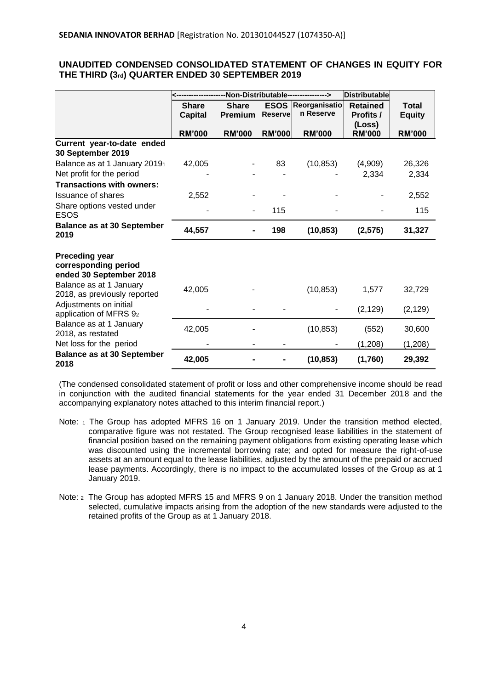# **UNAUDITED CONDENSED CONSOLIDATED STATEMENT OF CHANGES IN EQUITY FOR THE THIRD (3rd) QUARTER ENDED 30 SEPTEMBER 2019**

|                                                                          | -Non-Distributable----------------> |               |                |               | <b>Distributable</b>    |               |
|--------------------------------------------------------------------------|-------------------------------------|---------------|----------------|---------------|-------------------------|---------------|
|                                                                          | <b>Share</b>                        | <b>Share</b>  | <b>ESOS</b>    | Reorganisatio | <b>Retained</b>         | <b>Total</b>  |
|                                                                          | <b>Capital</b>                      | Premium       | <b>Reserve</b> | n Reserve     | <b>Profits /</b>        | <b>Equity</b> |
|                                                                          | <b>RM'000</b>                       | <b>RM'000</b> | <b>RM'000</b>  | <b>RM'000</b> | (Loss)<br><b>RM'000</b> | <b>RM'000</b> |
| Current year-to-date ended<br>30 September 2019                          |                                     |               |                |               |                         |               |
| Balance as at 1 January 20191                                            | 42,005                              |               | 83             | (10, 853)     | (4,909)                 | 26,326        |
| Net profit for the period                                                |                                     |               |                |               | 2,334                   | 2,334         |
| <b>Transactions with owners:</b>                                         |                                     |               |                |               |                         |               |
| <b>Issuance of shares</b>                                                | 2,552                               |               |                |               |                         | 2,552         |
| Share options vested under<br><b>ESOS</b>                                |                                     |               | 115            |               |                         | 115           |
| <b>Balance as at 30 September</b><br>2019                                | 44,557                              |               | 198            | (10, 853)     | (2, 575)                | 31,327        |
| <b>Preceding year</b><br>corresponding period<br>ended 30 September 2018 |                                     |               |                |               |                         |               |
| Balance as at 1 January<br>2018, as previously reported                  | 42,005                              |               |                | (10, 853)     | 1,577                   | 32,729        |
| Adjustments on initial<br>application of MFRS 92                         |                                     |               |                |               | (2, 129)                | (2, 129)      |
| Balance as at 1 January<br>2018, as restated                             | 42,005                              |               |                | (10, 853)     | (552)                   | 30,600        |
| Net loss for the period                                                  |                                     |               |                |               | (1,208)                 | (1,208)       |
| <b>Balance as at 30 September</b><br>2018                                | 42,005                              |               |                | (10, 853)     | (1,760)                 | 29,392        |

(The condensed consolidated statement of profit or loss and other comprehensive income should be read in conjunction with the audited financial statements for the year ended 31 December 2018 and the accompanying explanatory notes attached to this interim financial report.)

- Note: 1 The Group has adopted MFRS 16 on 1 January 2019. Under the transition method elected, comparative figure was not restated. The Group recognised lease liabilities in the statement of financial position based on the remaining payment obligations from existing operating lease which was discounted using the incremental borrowing rate; and opted for measure the right-of-use assets at an amount equal to the lease liabilities, adjusted by the amount of the prepaid or accrued lease payments. Accordingly, there is no impact to the accumulated losses of the Group as at 1 January 2019.
- Note: <sup>2</sup> The Group has adopted MFRS 15 and MFRS 9 on 1 January 2018. Under the transition method selected, cumulative impacts arising from the adoption of the new standards were adjusted to the retained profits of the Group as at 1 January 2018.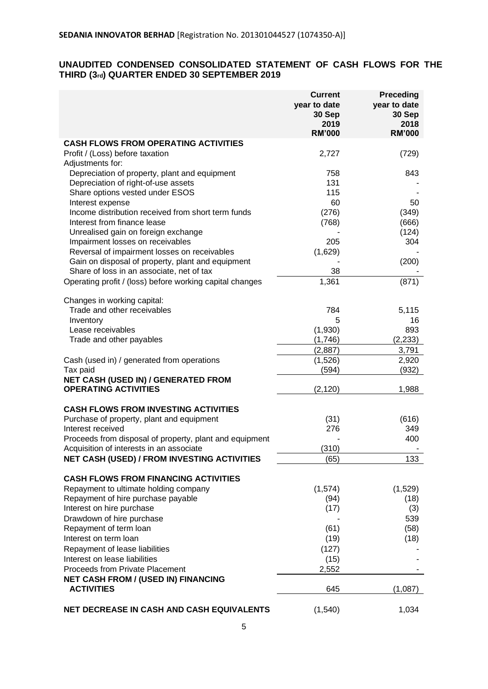# **UNAUDITED CONDENSED CONSOLIDATED STATEMENT OF CASH FLOWS FOR THE THIRD (3rd) QUARTER ENDED 30 SEPTEMBER 2019**

|                                                                    | <b>Current</b><br>year to date<br>30 Sep<br>2019<br><b>RM'000</b> | Preceding<br>year to date<br>30 Sep<br>2018<br><b>RM'000</b> |
|--------------------------------------------------------------------|-------------------------------------------------------------------|--------------------------------------------------------------|
| <b>CASH FLOWS FROM OPERATING ACTIVITIES</b>                        |                                                                   |                                                              |
| Profit / (Loss) before taxation                                    | 2,727                                                             | (729)                                                        |
| Adjustments for:                                                   |                                                                   |                                                              |
| Depreciation of property, plant and equipment                      | 758                                                               | 843                                                          |
| Depreciation of right-of-use assets                                | 131                                                               |                                                              |
| Share options vested under ESOS                                    | 115                                                               |                                                              |
| Interest expense                                                   | 60                                                                | 50                                                           |
| Income distribution received from short term funds                 | (276)                                                             | (349)                                                        |
| Interest from finance lease                                        | (768)                                                             | (666)                                                        |
| Unrealised gain on foreign exchange                                |                                                                   | (124)                                                        |
| Impairment losses on receivables                                   | 205                                                               | 304                                                          |
| Reversal of impairment losses on receivables                       | (1,629)                                                           |                                                              |
| Gain on disposal of property, plant and equipment                  |                                                                   | (200)                                                        |
| Share of loss in an associate, net of tax                          | 38                                                                |                                                              |
| Operating profit / (loss) before working capital changes           | 1,361                                                             | (871)                                                        |
|                                                                    |                                                                   |                                                              |
| Changes in working capital:                                        |                                                                   |                                                              |
| Trade and other receivables                                        | 784                                                               | 5,115                                                        |
| Inventory                                                          | 5                                                                 | 16                                                           |
| Lease receivables                                                  | (1,930)                                                           | 893                                                          |
| Trade and other payables                                           | (1,746)                                                           | (2, 233)                                                     |
|                                                                    | (2,887)                                                           | 3,791                                                        |
| Cash (used in) / generated from operations                         | (1,526)                                                           | 2,920                                                        |
| Tax paid                                                           | (594)                                                             | (932)                                                        |
| NET CASH (USED IN) / GENERATED FROM<br><b>OPERATING ACTIVITIES</b> | (2, 120)                                                          | 1,988                                                        |
| <b>CASH FLOWS FROM INVESTING ACTIVITIES</b>                        |                                                                   |                                                              |
| Purchase of property, plant and equipment                          | (31)                                                              | (616)                                                        |
| Interest received                                                  | 276                                                               | 349                                                          |
| Proceeds from disposal of property, plant and equipment            |                                                                   | 400                                                          |
| Acquisition of interests in an associate                           | (310)                                                             |                                                              |
| NET CASH (USED) / FROM INVESTING ACTIVITIES                        | (65)                                                              | 133.                                                         |
|                                                                    |                                                                   |                                                              |
| <b>CASH FLOWS FROM FINANCING ACTIVITIES</b>                        |                                                                   |                                                              |
| Repayment to ultimate holding company                              | (1,574)                                                           | (1,529)                                                      |
| Repayment of hire purchase payable                                 | (94)                                                              | (18)                                                         |
| Interest on hire purchase                                          | (17)                                                              | (3)                                                          |
| Drawdown of hire purchase                                          |                                                                   | 539                                                          |
| Repayment of term loan                                             | (61)                                                              | (58)                                                         |
| Interest on term loan                                              | (19)                                                              | (18)                                                         |
| Repayment of lease liabilities                                     | (127)                                                             |                                                              |
| Interest on lease liabilities                                      | (15)                                                              |                                                              |
| <b>Proceeds from Private Placement</b>                             | 2,552                                                             |                                                              |
| <b>NET CASH FROM / (USED IN) FINANCING</b>                         |                                                                   |                                                              |
| <b>ACTIVITIES</b>                                                  | 645                                                               | (1,087)                                                      |
| NET DECREASE IN CASH AND CASH EQUIVALENTS                          | (1,540)                                                           | 1,034                                                        |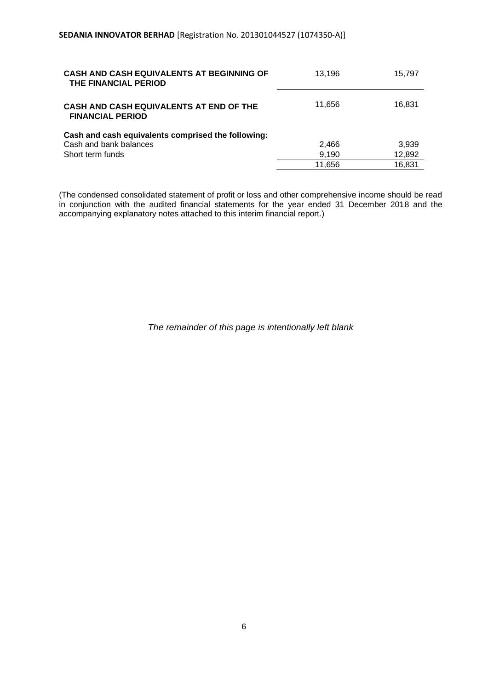| <b>CASH AND CASH EQUIVALENTS AT BEGINNING OF</b><br>THE FINANCIAL PERIOD | 13.196 | 15.797 |
|--------------------------------------------------------------------------|--------|--------|
| CASH AND CASH EQUIVALENTS AT END OF THE<br><b>FINANCIAL PERIOD</b>       | 11,656 | 16,831 |
| Cash and cash equivalents comprised the following:                       |        |        |
| Cash and bank balances                                                   | 2,466  | 3,939  |
| Short term funds                                                         | 9,190  | 12,892 |
|                                                                          | 11.656 | 16,831 |

(The condensed consolidated statement of profit or loss and other comprehensive income should be read in conjunction with the audited financial statements for the year ended 31 December 2018 and the accompanying explanatory notes attached to this interim financial report.)

*The remainder of this page is intentionally left blank*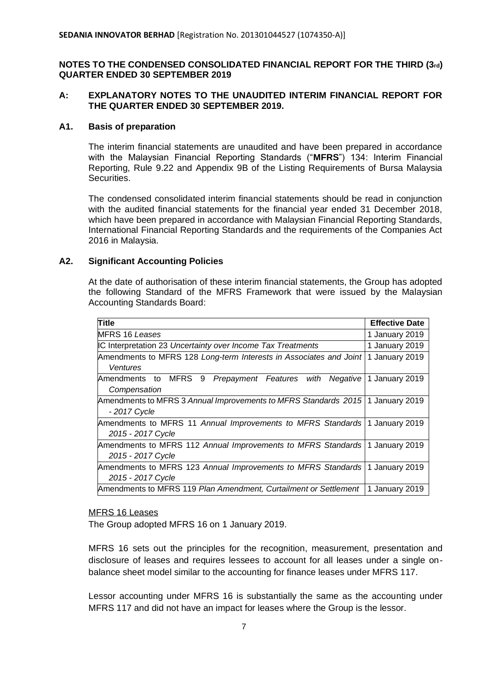# **NOTES TO THE CONDENSED CONSOLIDATED FINANCIAL REPORT FOR THE THIRD (3rd) QUARTER ENDED 30 SEPTEMBER 2019**

# **A: EXPLANATORY NOTES TO THE UNAUDITED INTERIM FINANCIAL REPORT FOR THE QUARTER ENDED 30 SEPTEMBER 2019.**

# **A1. Basis of preparation**

The interim financial statements are unaudited and have been prepared in accordance with the Malaysian Financial Reporting Standards ("**MFRS**") 134: Interim Financial Reporting, Rule 9.22 and Appendix 9B of the Listing Requirements of Bursa Malaysia Securities.

The condensed consolidated interim financial statements should be read in conjunction with the audited financial statements for the financial year ended 31 December 2018, which have been prepared in accordance with Malaysian Financial Reporting Standards, International Financial Reporting Standards and the requirements of the Companies Act 2016 in Malaysia.

# **A2. Significant Accounting Policies**

At the date of authorisation of these interim financial statements, the Group has adopted the following Standard of the MFRS Framework that were issued by the Malaysian Accounting Standards Board:

| Title                                                                        | <b>Effective Date</b> |
|------------------------------------------------------------------------------|-----------------------|
| <b>MFRS 16 Leases</b>                                                        | 1 January 2019        |
| <b>IC Interpretation 23 Uncertainty over Income Tax Treatments</b>           | 1 January 2019        |
| Amendments to MFRS 128 Long-term Interests in Associates and Joint           | 1 January 2019        |
| Ventures                                                                     |                       |
| MFRS<br>9<br>Amendments to<br>Prepayment Features with<br>Negative           | 1 January 2019        |
| Compensation                                                                 |                       |
| Amendments to MFRS 3 Annual Improvements to MFRS Standards 2015              | 1 January 2019        |
| - 2017 Cycle                                                                 |                       |
| Amendments to MFRS 11 Annual Improvements to MFRS Standards   1 January 2019 |                       |
| 2015 - 2017 Cycle                                                            |                       |
| Amendments to MFRS 112 Annual Improvements to MFRS Standards                 | 1 January 2019        |
| 2015 - 2017 Cycle                                                            |                       |
| Amendments to MFRS 123 Annual Improvements to MFRS Standards                 | 1 January 2019        |
| 2015 - 2017 Cycle                                                            |                       |
| Amendments to MFRS 119 Plan Amendment, Curtailment or Settlement             | 1 January 2019        |

## MFRS 16 Leases

The Group adopted MFRS 16 on 1 January 2019.

MFRS 16 sets out the principles for the recognition, measurement, presentation and disclosure of leases and requires lessees to account for all leases under a single onbalance sheet model similar to the accounting for finance leases under MFRS 117.

Lessor accounting under MFRS 16 is substantially the same as the accounting under MFRS 117 and did not have an impact for leases where the Group is the lessor.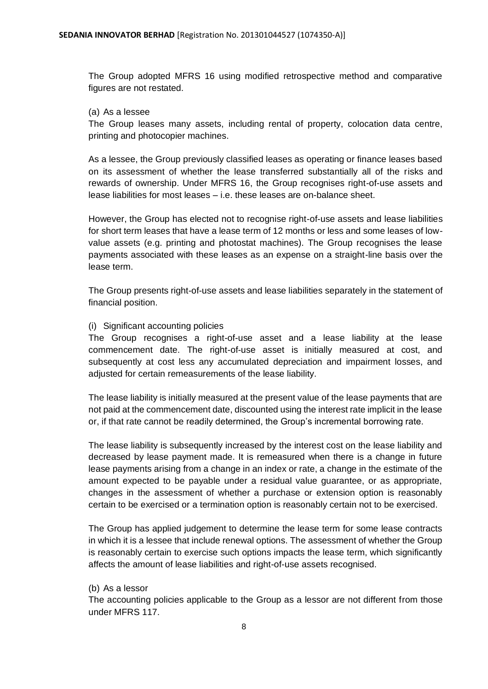The Group adopted MFRS 16 using modified retrospective method and comparative figures are not restated.

## (a) As a lessee

The Group leases many assets, including rental of property, colocation data centre, printing and photocopier machines.

As a lessee, the Group previously classified leases as operating or finance leases based on its assessment of whether the lease transferred substantially all of the risks and rewards of ownership. Under MFRS 16, the Group recognises right-of-use assets and lease liabilities for most leases – i.e. these leases are on-balance sheet.

However, the Group has elected not to recognise right-of-use assets and lease liabilities for short term leases that have a lease term of 12 months or less and some leases of lowvalue assets (e.g. printing and photostat machines). The Group recognises the lease payments associated with these leases as an expense on a straight-line basis over the lease term.

The Group presents right-of-use assets and lease liabilities separately in the statement of financial position.

# (i) Significant accounting policies

The Group recognises a right-of-use asset and a lease liability at the lease commencement date. The right-of-use asset is initially measured at cost, and subsequently at cost less any accumulated depreciation and impairment losses, and adjusted for certain remeasurements of the lease liability.

The lease liability is initially measured at the present value of the lease payments that are not paid at the commencement date, discounted using the interest rate implicit in the lease or, if that rate cannot be readily determined, the Group's incremental borrowing rate.

The lease liability is subsequently increased by the interest cost on the lease liability and decreased by lease payment made. It is remeasured when there is a change in future lease payments arising from a change in an index or rate, a change in the estimate of the amount expected to be payable under a residual value guarantee, or as appropriate, changes in the assessment of whether a purchase or extension option is reasonably certain to be exercised or a termination option is reasonably certain not to be exercised.

The Group has applied judgement to determine the lease term for some lease contracts in which it is a lessee that include renewal options. The assessment of whether the Group is reasonably certain to exercise such options impacts the lease term, which significantly affects the amount of lease liabilities and right-of-use assets recognised.

## (b) As a lessor

The accounting policies applicable to the Group as a lessor are not different from those under MFRS 117.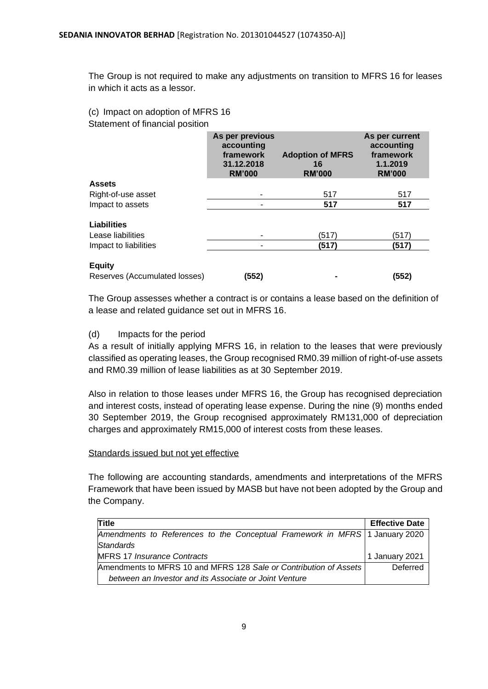The Group is not required to make any adjustments on transition to MFRS 16 for leases in which it acts as a lessor.

(c) Impact on adoption of MFRS 16 Statement of financial position

| As per previous<br>accounting<br>framework<br>31.12.2018<br><b>RM'000</b> | <b>Adoption of MFRS</b><br>16<br><b>RM'000</b> | As per current<br>accounting<br>framework<br>1.1.2019<br><b>RM'000</b> |
|---------------------------------------------------------------------------|------------------------------------------------|------------------------------------------------------------------------|
|                                                                           |                                                |                                                                        |
|                                                                           | 517                                            | 517                                                                    |
|                                                                           | 517                                            | 517                                                                    |
|                                                                           |                                                |                                                                        |
|                                                                           | (517)                                          | (517)                                                                  |
|                                                                           | (517)                                          | (517)                                                                  |
|                                                                           |                                                | (552)                                                                  |
|                                                                           | (552)                                          |                                                                        |

The Group assesses whether a contract is or contains a lease based on the definition of a lease and related guidance set out in MFRS 16.

## (d) Impacts for the period

As a result of initially applying MFRS 16, in relation to the leases that were previously classified as operating leases, the Group recognised RM0.39 million of right-of-use assets and RM0.39 million of lease liabilities as at 30 September 2019.

Also in relation to those leases under MFRS 16, the Group has recognised depreciation and interest costs, instead of operating lease expense. During the nine (9) months ended 30 September 2019, the Group recognised approximately RM131,000 of depreciation charges and approximately RM15,000 of interest costs from these leases.

## Standards issued but not yet effective

The following are accounting standards, amendments and interpretations of the MFRS Framework that have been issued by MASB but have not been adopted by the Group and the Company.

| <b>Title</b>                                                                | <b>Effective Date</b> |
|-----------------------------------------------------------------------------|-----------------------|
| Amendments to References to the Conceptual Framework in MFRS 1 January 2020 |                       |
| Standards                                                                   |                       |
| <b>MFRS 17 Insurance Contracts</b>                                          | 1 January 2021        |
| Amendments to MFRS 10 and MFRS 128 Sale or Contribution of Assets           | Deferred              |
| between an Investor and its Associate or Joint Venture                      |                       |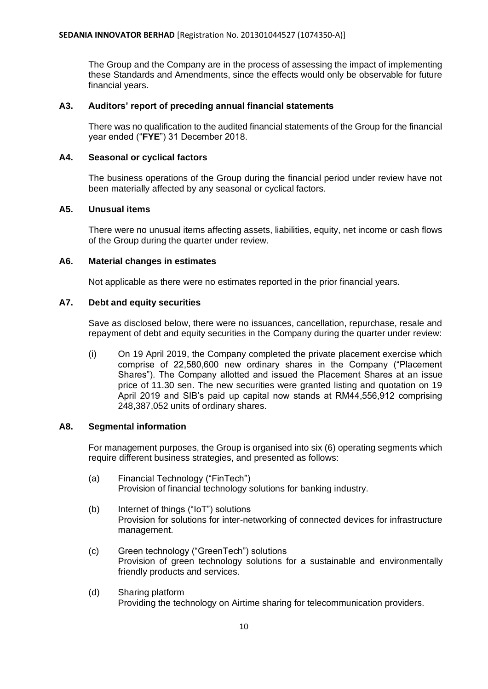The Group and the Company are in the process of assessing the impact of implementing these Standards and Amendments, since the effects would only be observable for future financial years.

# **A3. Auditors' report of preceding annual financial statements**

There was no qualification to the audited financial statements of the Group for the financial year ended ("**FYE**") 31 December 2018.

# **A4. Seasonal or cyclical factors**

The business operations of the Group during the financial period under review have not been materially affected by any seasonal or cyclical factors.

# **A5. Unusual items**

There were no unusual items affecting assets, liabilities, equity, net income or cash flows of the Group during the quarter under review.

# **A6. Material changes in estimates**

Not applicable as there were no estimates reported in the prior financial years.

# **A7. Debt and equity securities**

Save as disclosed below, there were no issuances, cancellation, repurchase, resale and repayment of debt and equity securities in the Company during the quarter under review:

(i) On 19 April 2019, the Company completed the private placement exercise which comprise of 22,580,600 new ordinary shares in the Company ("Placement Shares"). The Company allotted and issued the Placement Shares at an issue price of 11.30 sen. The new securities were granted listing and quotation on 19 April 2019 and SIB's paid up capital now stands at RM44,556,912 comprising 248,387,052 units of ordinary shares.

# **A8. Segmental information**

For management purposes, the Group is organised into six (6) operating segments which require different business strategies, and presented as follows:

- (a) Financial Technology ("FinTech") Provision of financial technology solutions for banking industry.
- (b) Internet of things ("IoT") solutions Provision for solutions for inter-networking of connected devices for infrastructure management.
- (c) Green technology ("GreenTech") solutions Provision of green technology solutions for a sustainable and environmentally friendly products and services.
- (d) Sharing platform Providing the technology on Airtime sharing for telecommunication providers.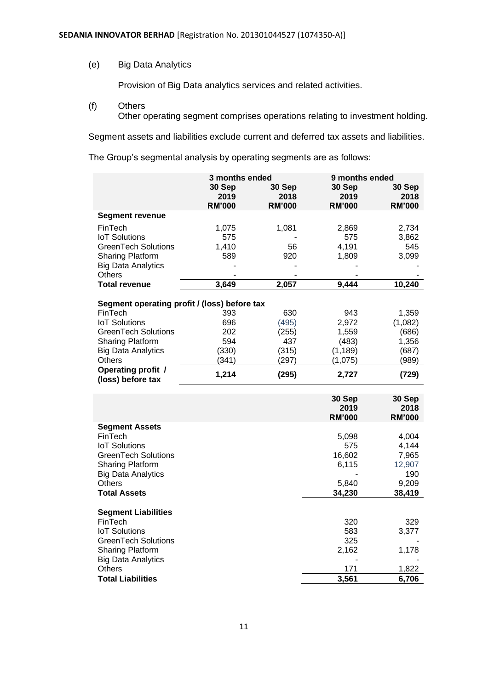(e) Big Data Analytics

Provision of Big Data analytics services and related activities.

- (f) Others
	- Other operating segment comprises operations relating to investment holding.

Segment assets and liabilities exclude current and deferred tax assets and liabilities.

The Group's segmental analysis by operating segments are as follows:

|                                                | 3 months ended |                | 9 months ended |               |
|------------------------------------------------|----------------|----------------|----------------|---------------|
|                                                | 30 Sep         | 30 Sep         | 30 Sep         | 30 Sep        |
|                                                | 2019           | 2018           | 2019           | 2018          |
|                                                | <b>RM'000</b>  | <b>RM'000</b>  | <b>RM'000</b>  | <b>RM'000</b> |
| <b>Segment revenue</b>                         |                |                |                |               |
| FinTech                                        | 1,075          | 1,081          | 2,869          | 2,734         |
| <b>IoT Solutions</b>                           | 575            |                | 575            | 3,862         |
| <b>GreenTech Solutions</b>                     | 1,410          | 56             | 4,191          | 545           |
| <b>Sharing Platform</b>                        | 589            | 920            | 1,809          | 3,099         |
| <b>Big Data Analytics</b>                      |                |                |                |               |
| Others                                         |                |                |                |               |
| <b>Total revenue</b>                           | 3,649          | 2,057          | 9,444          | 10,240        |
|                                                |                |                |                |               |
| Segment operating profit / (loss) before tax   |                |                |                |               |
| FinTech                                        | 393            | 630            | 943            | 1,359         |
| <b>IoT Solutions</b>                           | 696            | (495)          | 2,972          | (1,082)       |
| <b>GreenTech Solutions</b>                     | 202            | (255)          | 1,559          | (686)         |
| Sharing Platform                               | 594            | 437            | (483)          | 1,356         |
| <b>Big Data Analytics</b>                      | (330)<br>(341) | (315)<br>(297) | (1, 189)       | (687)         |
| Others                                         |                |                | (1,075)        | (989)         |
| <b>Operating profit /</b><br>(loss) before tax | 1,214          | (295)          | 2,727          | (729)         |
|                                                |                |                |                |               |
|                                                |                |                | 30 Sep         | 30 Sep        |
|                                                |                |                | 2019           | 2018          |
|                                                |                |                | <b>RM'000</b>  | <b>RM'000</b> |
| <b>Segment Assets</b>                          |                |                |                |               |
| FinTech                                        |                |                | 5,098          | 4,004         |
| <b>IoT Solutions</b>                           |                |                | 575            | 4,144         |
| <b>GreenTech Solutions</b>                     |                |                | 16,602         | 7,965         |
| <b>Sharing Platform</b>                        |                |                | 6,115          | 12,907        |
| <b>Big Data Analytics</b>                      |                |                |                | 190           |
| <b>Others</b>                                  |                |                | 5,840          | 9,209         |
| <b>Total Assets</b>                            |                |                | 34,230         | 38,419        |
|                                                |                |                |                |               |
| <b>Segment Liabilities</b>                     |                |                |                |               |
| FinTech                                        |                |                | 320            | 329           |
| <b>IoT Solutions</b>                           |                |                | 583            | 3,377         |
| <b>GreenTech Solutions</b>                     |                |                | 325            |               |
| <b>Sharing Platform</b>                        |                |                | 2,162          | 1,178         |
| <b>Big Data Analytics</b><br><b>Others</b>     |                |                | 171            | 1,822         |
| <b>Total Liabilities</b>                       |                |                | 3,561          | 6,706         |
|                                                |                |                |                |               |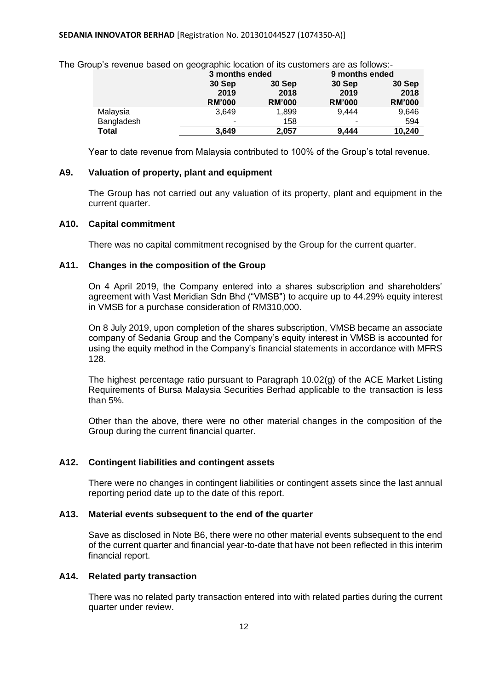| ap o rovonao baoba on goographic iodation or ito pactomore are ao follows. |                  |               |                |               |
|----------------------------------------------------------------------------|------------------|---------------|----------------|---------------|
|                                                                            | 3 months ended   |               | 9 months ended |               |
|                                                                            | 30 Sep<br>30 Sep |               | 30 Sep         | 30 Sep        |
|                                                                            | 2019             | 2018          | 2019           | 2018          |
|                                                                            | <b>RM'000</b>    | <b>RM'000</b> | <b>RM'000</b>  | <b>RM'000</b> |
| Malaysia                                                                   | 3,649            | 1,899         | 9.444          | 9,646         |
| Bangladesh                                                                 |                  | 158           | ٠              | 594           |
| <b>Total</b>                                                               | 3.649            | 2,057         | 9.444          | 10,240        |

The Group's revenue based on geographic location of its customers are as follows:-

Year to date revenue from Malaysia contributed to 100% of the Group's total revenue.

#### **A9. Valuation of property, plant and equipment**

The Group has not carried out any valuation of its property, plant and equipment in the current quarter.

#### **A10. Capital commitment**

There was no capital commitment recognised by the Group for the current quarter.

#### **A11. Changes in the composition of the Group**

On 4 April 2019, the Company entered into a shares subscription and shareholders' agreement with Vast Meridian Sdn Bhd ("VMSB") to acquire up to 44.29% equity interest in VMSB for a purchase consideration of RM310,000.

On 8 July 2019, upon completion of the shares subscription, VMSB became an associate company of Sedania Group and the Company's equity interest in VMSB is accounted for using the equity method in the Company's financial statements in accordance with MFRS 128.

The highest percentage ratio pursuant to Paragraph 10.02(g) of the ACE Market Listing Requirements of Bursa Malaysia Securities Berhad applicable to the transaction is less than 5%.

Other than the above, there were no other material changes in the composition of the Group during the current financial quarter.

#### **A12. Contingent liabilities and contingent assets**

There were no changes in contingent liabilities or contingent assets since the last annual reporting period date up to the date of this report.

#### **A13. Material events subsequent to the end of the quarter**

Save as disclosed in Note B6, there were no other material events subsequent to the end of the current quarter and financial year-to-date that have not been reflected in this interim financial report.

## **A14. Related party transaction**

There was no related party transaction entered into with related parties during the current quarter under review.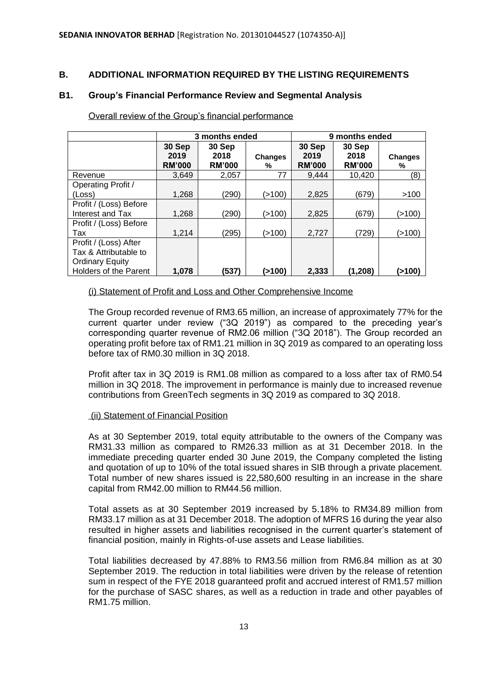# **B. ADDITIONAL INFORMATION REQUIRED BY THE LISTING REQUIREMENTS**

# **B1. Group's Financial Performance Review and Segmental Analysis**

|                                                                                                   | 3 months ended                  |                                 |                     | 9 months ended                  |                                 |                     |
|---------------------------------------------------------------------------------------------------|---------------------------------|---------------------------------|---------------------|---------------------------------|---------------------------------|---------------------|
|                                                                                                   | 30 Sep<br>2019<br><b>RM'000</b> | 30 Sep<br>2018<br><b>RM'000</b> | <b>Changes</b><br>% | 30 Sep<br>2019<br><b>RM'000</b> | 30 Sep<br>2018<br><b>RM'000</b> | <b>Changes</b><br>% |
| Revenue                                                                                           | 3.649                           | 2,057                           | 77                  | 9.444                           | 10,420                          | (8)                 |
| <b>Operating Profit /</b>                                                                         |                                 |                                 |                     |                                 |                                 |                     |
| (Loss)                                                                                            | 1,268                           | (290)                           | (>100)              | 2,825                           | (679)                           | >100                |
| Profit / (Loss) Before<br>Interest and Tax                                                        | 1,268                           | (290)                           | (>100)              | 2,825                           | (679)                           | (>100)              |
| Profit / (Loss) Before<br>Tax                                                                     | 1,214                           | (295)                           | (>100)              | 2,727                           | (729)                           | (>100)              |
| Profit / (Loss) After<br>Tax & Attributable to<br><b>Ordinary Equity</b><br>Holders of the Parent | 1,078                           | (537)                           | ( > 100)            | 2,333                           | (1,208)                         | (>100)              |

Overall review of the Group's financial performance

# (i) Statement of Profit and Loss and Other Comprehensive Income

The Group recorded revenue of RM3.65 million, an increase of approximately 77% for the current quarter under review ("3Q 2019") as compared to the preceding year's corresponding quarter revenue of RM2.06 million ("3Q 2018"). The Group recorded an operating profit before tax of RM1.21 million in 3Q 2019 as compared to an operating loss before tax of RM0.30 million in 3Q 2018.

Profit after tax in 3Q 2019 is RM1.08 million as compared to a loss after tax of RM0.54 million in 3Q 2018. The improvement in performance is mainly due to increased revenue contributions from GreenTech segments in 3Q 2019 as compared to 3Q 2018.

## (ii) Statement of Financial Position

As at 30 September 2019, total equity attributable to the owners of the Company was RM31.33 million as compared to RM26.33 million as at 31 December 2018. In the immediate preceding quarter ended 30 June 2019, the Company completed the listing and quotation of up to 10% of the total issued shares in SIB through a private placement. Total number of new shares issued is 22,580,600 resulting in an increase in the share capital from RM42.00 million to RM44.56 million.

Total assets as at 30 September 2019 increased by 5.18% to RM34.89 million from RM33.17 million as at 31 December 2018. The adoption of MFRS 16 during the year also resulted in higher assets and liabilities recognised in the current quarter's statement of financial position, mainly in Rights-of-use assets and Lease liabilities.

Total liabilities decreased by 47.88% to RM3.56 million from RM6.84 million as at 30 September 2019. The reduction in total liabilities were driven by the release of retention sum in respect of the FYE 2018 guaranteed profit and accrued interest of RM1.57 million for the purchase of SASC shares, as well as a reduction in trade and other payables of RM1.75 million.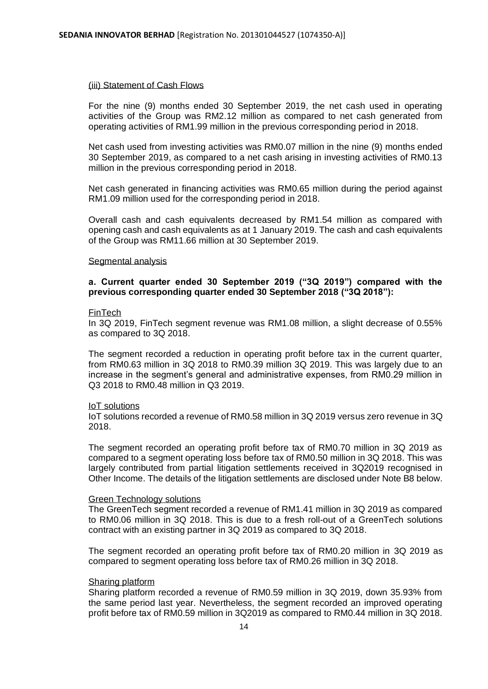#### (iii) Statement of Cash Flows

For the nine (9) months ended 30 September 2019, the net cash used in operating activities of the Group was RM2.12 million as compared to net cash generated from operating activities of RM1.99 million in the previous corresponding period in 2018.

Net cash used from investing activities was RM0.07 million in the nine (9) months ended 30 September 2019, as compared to a net cash arising in investing activities of RM0.13 million in the previous corresponding period in 2018.

Net cash generated in financing activities was RM0.65 million during the period against RM1.09 million used for the corresponding period in 2018.

Overall cash and cash equivalents decreased by RM1.54 million as compared with opening cash and cash equivalents as at 1 January 2019. The cash and cash equivalents of the Group was RM11.66 million at 30 September 2019.

#### Segmental analysis

## **a. Current quarter ended 30 September 2019 ("3Q 2019") compared with the previous corresponding quarter ended 30 September 2018 ("3Q 2018"):**

#### FinTech

In 3Q 2019, FinTech segment revenue was RM1.08 million, a slight decrease of 0.55% as compared to 3Q 2018.

The segment recorded a reduction in operating profit before tax in the current quarter, from RM0.63 million in 3Q 2018 to RM0.39 million 3Q 2019. This was largely due to an increase in the segment's general and administrative expenses, from RM0.29 million in Q3 2018 to RM0.48 million in Q3 2019.

#### IoT solutions

IoT solutions recorded a revenue of RM0.58 million in 3Q 2019 versus zero revenue in 3Q 2018.

The segment recorded an operating profit before tax of RM0.70 million in 3Q 2019 as compared to a segment operating loss before tax of RM0.50 million in 3Q 2018. This was largely contributed from partial litigation settlements received in 3Q2019 recognised in Other Income. The details of the litigation settlements are disclosed under Note B8 below.

#### Green Technology solutions

The GreenTech segment recorded a revenue of RM1.41 million in 3Q 2019 as compared to RM0.06 million in 3Q 2018. This is due to a fresh roll-out of a GreenTech solutions contract with an existing partner in 3Q 2019 as compared to 3Q 2018.

The segment recorded an operating profit before tax of RM0.20 million in 3Q 2019 as compared to segment operating loss before tax of RM0.26 million in 3Q 2018.

#### Sharing platform

Sharing platform recorded a revenue of RM0.59 million in 3Q 2019, down 35.93% from the same period last year. Nevertheless, the segment recorded an improved operating profit before tax of RM0.59 million in 3Q2019 as compared to RM0.44 million in 3Q 2018.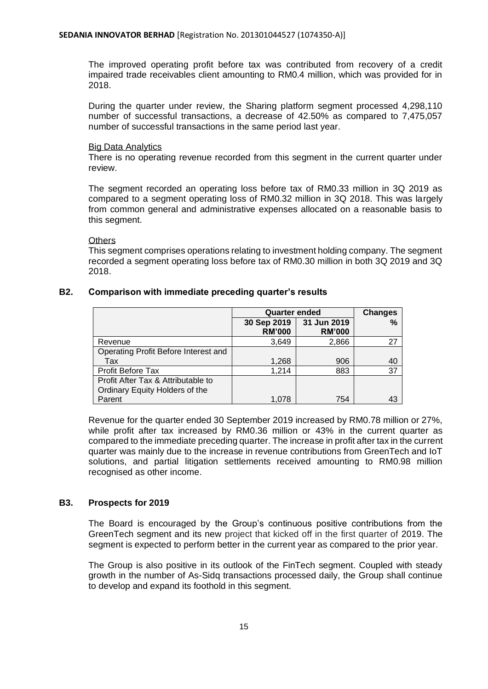The improved operating profit before tax was contributed from recovery of a credit impaired trade receivables client amounting to RM0.4 million, which was provided for in 2018.

During the quarter under review, the Sharing platform segment processed 4,298,110 number of successful transactions, a decrease of 42.50% as compared to 7,475,057 number of successful transactions in the same period last year.

## Big Data Analytics

There is no operating revenue recorded from this segment in the current quarter under review.

The segment recorded an operating loss before tax of RM0.33 million in 3Q 2019 as compared to a segment operating loss of RM0.32 million in 3Q 2018. This was largely from common general and administrative expenses allocated on a reasonable basis to this segment.

**Others** 

This segment comprises operations relating to investment holding company. The segment recorded a segment operating loss before tax of RM0.30 million in both 3Q 2019 and 3Q 2018.

# **B2. Comparison with immediate preceding quarter's results**

|                                      | <b>Quarter ended</b>         | <b>Changes</b>               |    |
|--------------------------------------|------------------------------|------------------------------|----|
|                                      | 30 Sep 2019<br><b>RM'000</b> | 31 Jun 2019<br><b>RM'000</b> | %  |
| Revenue                              | 3,649                        | 2,866                        | 27 |
| Operating Profit Before Interest and |                              |                              |    |
| Tax                                  | 1,268                        | 906                          | 40 |
| <b>Profit Before Tax</b>             | 1,214                        | 883                          | 37 |
| Profit After Tax & Attributable to   |                              |                              |    |
| Ordinary Equity Holders of the       |                              |                              |    |
| Parent                               | 1,078                        | 754                          | 43 |

Revenue for the quarter ended 30 September 2019 increased by RM0.78 million or 27%, while profit after tax increased by RM0.36 million or 43% in the current quarter as compared to the immediate preceding quarter. The increase in profit after tax in the current quarter was mainly due to the increase in revenue contributions from GreenTech and IoT solutions, and partial litigation settlements received amounting to RM0.98 million recognised as other income.

# **B3. Prospects for 2019**

The Board is encouraged by the Group's continuous positive contributions from the GreenTech segment and its new project that kicked off in the first quarter of 2019. The segment is expected to perform better in the current year as compared to the prior year.

The Group is also positive in its outlook of the FinTech segment. Coupled with steady growth in the number of As-Sidq transactions processed daily, the Group shall continue to develop and expand its foothold in this segment.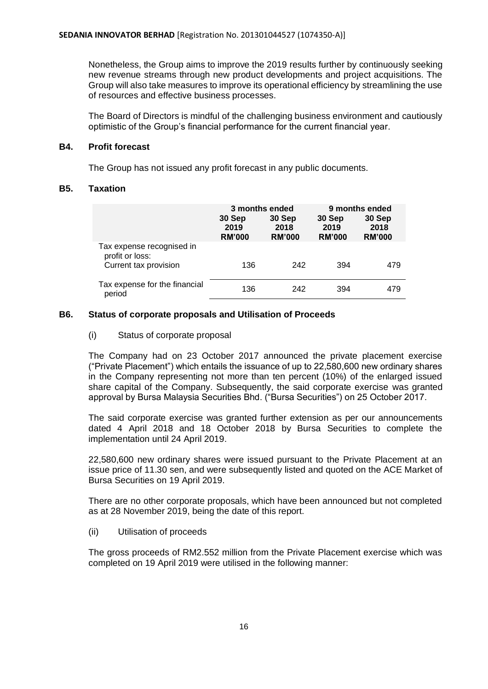Nonetheless, the Group aims to improve the 2019 results further by continuously seeking new revenue streams through new product developments and project acquisitions. The Group will also take measures to improve its operational efficiency by streamlining the use of resources and effective business processes.

The Board of Directors is mindful of the challenging business environment and cautiously optimistic of the Group's financial performance for the current financial year.

# **B4. Profit forecast**

The Group has not issued any profit forecast in any public documents.

# **B5. Taxation**

|                                                                       | 3 months ended<br>30 Sep<br>2019<br><b>RM'000</b> | 30 Sep<br>2018<br><b>RM'000</b> | 30 Sep<br>2019<br><b>RM'000</b> | 9 months ended<br>30 Sep<br>2018<br><b>RM'000</b> |
|-----------------------------------------------------------------------|---------------------------------------------------|---------------------------------|---------------------------------|---------------------------------------------------|
| Tax expense recognised in<br>profit or loss:<br>Current tax provision | 136                                               | 242                             | 394                             | 479                                               |
| Tax expense for the financial<br>period                               | 136                                               | 242                             | 394                             | 479                                               |

# **B6. Status of corporate proposals and Utilisation of Proceeds**

# (i) Status of corporate proposal

The Company had on 23 October 2017 announced the private placement exercise ("Private Placement") which entails the issuance of up to 22,580,600 new ordinary shares in the Company representing not more than ten percent (10%) of the enlarged issued share capital of the Company. Subsequently, the said corporate exercise was granted approval by Bursa Malaysia Securities Bhd. ("Bursa Securities") on 25 October 2017.

The said corporate exercise was granted further extension as per our announcements dated 4 April 2018 and 18 October 2018 by Bursa Securities to complete the implementation until 24 April 2019.

22,580,600 new ordinary shares were issued pursuant to the Private Placement at an issue price of 11.30 sen, and were subsequently listed and quoted on the ACE Market of Bursa Securities on 19 April 2019.

There are no other corporate proposals, which have been announced but not completed as at 28 November 2019, being the date of this report.

## (ii) Utilisation of proceeds

The gross proceeds of RM2.552 million from the Private Placement exercise which was completed on 19 April 2019 were utilised in the following manner: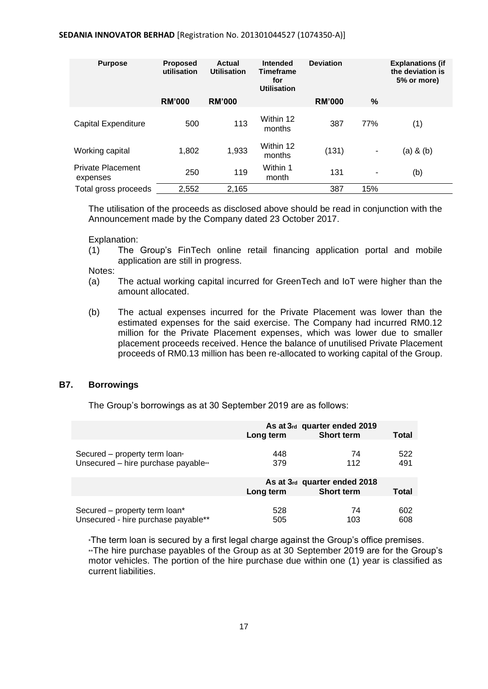#### **SEDANIA INNOVATOR BERHAD** [Registration No. 201301044527 (1074350-A)]

| <b>Purpose</b>                       | <b>Proposed</b><br>utilisation | Actual<br><b>Utilisation</b> | Intended<br><b>Timeframe</b><br>for<br><b>Utilisation</b> | <b>Deviation</b> |      | <b>Explanations (if</b><br>the deviation is<br>5% or more) |
|--------------------------------------|--------------------------------|------------------------------|-----------------------------------------------------------|------------------|------|------------------------------------------------------------|
|                                      | <b>RM'000</b>                  | <b>RM'000</b>                |                                                           | <b>RM'000</b>    | $\%$ |                                                            |
| <b>Capital Expenditure</b>           | 500                            | 113                          | Within 12<br>months                                       | 387              | 77%  | (1)                                                        |
| Working capital                      | 1,802                          | 1,933                        | Within 12<br>months                                       | (131)            | ٠    | $(a)$ & $(b)$                                              |
| <b>Private Placement</b><br>expenses | 250                            | 119                          | Within 1<br>month                                         | 131              | ٠    | (b)                                                        |
| Total gross proceeds                 | 2,552                          | 2,165                        |                                                           | 387              | 15%  |                                                            |

The utilisation of the proceeds as disclosed above should be read in conjunction with the Announcement made by the Company dated 23 October 2017.

Explanation:

(1) The Group's FinTech online retail financing application portal and mobile application are still in progress.

Notes:

- (a) The actual working capital incurred for GreenTech and IoT were higher than the amount allocated.
- (b) The actual expenses incurred for the Private Placement was lower than the estimated expenses for the said exercise. The Company had incurred RM0.12 million for the Private Placement expenses, which was lower due to smaller placement proceeds received. Hence the balance of unutilised Private Placement proceeds of RM0.13 million has been re-allocated to working capital of the Group.

# **B7. Borrowings**

The Group's borrowings as at 30 September 2019 are as follows:

|                                     | Long term | As at 3rd quarter ended 2019<br><b>Short term</b> | <b>Total</b> |
|-------------------------------------|-----------|---------------------------------------------------|--------------|
| Secured – property term loan*       | 448       | 74                                                | 522          |
| Unsecured - hire purchase payable** | 379       | 112                                               | 491          |
|                                     | Long term | As at 3rd quarter ended 2018<br><b>Short term</b> | <b>Total</b> |
| Secured – property term loan*       | 528       | 74                                                | 602          |
| Unsecured - hire purchase payable** | 505       | 103                                               | 608          |

\*The term loan is secured by a first legal charge against the Group's office premises. \*\*The hire purchase payables of the Group as at 30 September 2019 are for the Group's motor vehicles. The portion of the hire purchase due within one (1) year is classified as current liabilities.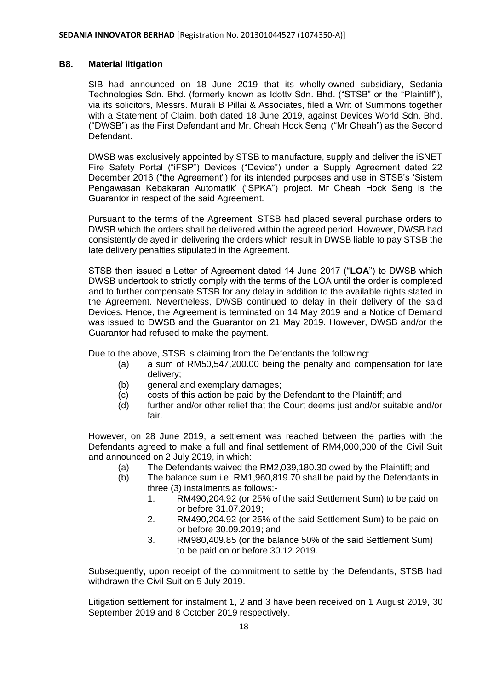## **B8. Material litigation**

SIB had announced on 18 June 2019 that its wholly-owned subsidiary, Sedania Technologies Sdn. Bhd. (formerly known as Idottv Sdn. Bhd. ("STSB" or the "Plaintiff"), via its solicitors, Messrs. Murali B Pillai & Associates, filed a Writ of Summons together with a Statement of Claim, both dated 18 June 2019, against Devices World Sdn. Bhd. ("DWSB") as the First Defendant and Mr. Cheah Hock Seng ("Mr Cheah") as the Second Defendant.

DWSB was exclusively appointed by STSB to manufacture, supply and deliver the iSNET Fire Safety Portal ("iFSP") Devices ("Device") under a Supply Agreement dated 22 December 2016 ("the Agreement") for its intended purposes and use in STSB's 'Sistem Pengawasan Kebakaran Automatik' ("SPKA") project. Mr Cheah Hock Seng is the Guarantor in respect of the said Agreement.

Pursuant to the terms of the Agreement, STSB had placed several purchase orders to DWSB which the orders shall be delivered within the agreed period. However, DWSB had consistently delayed in delivering the orders which result in DWSB liable to pay STSB the late delivery penalties stipulated in the Agreement.

STSB then issued a Letter of Agreement dated 14 June 2017 ("**LOA**") to DWSB which DWSB undertook to strictly comply with the terms of the LOA until the order is completed and to further compensate STSB for any delay in addition to the available rights stated in the Agreement. Nevertheless, DWSB continued to delay in their delivery of the said Devices. Hence, the Agreement is terminated on 14 May 2019 and a Notice of Demand was issued to DWSB and the Guarantor on 21 May 2019. However, DWSB and/or the Guarantor had refused to make the payment.

Due to the above, STSB is claiming from the Defendants the following:

- (a) a sum of RM50,547,200.00 being the penalty and compensation for late delivery;
- (b) general and exemplary damages;
- (c) costs of this action be paid by the Defendant to the Plaintiff; and
- (d) further and/or other relief that the Court deems just and/or suitable and/or fair.

However, on 28 June 2019, a settlement was reached between the parties with the Defendants agreed to make a full and final settlement of RM4,000,000 of the Civil Suit and announced on 2 July 2019, in which:

- (a) The Defendants waived the RM2,039,180.30 owed by the Plaintiff; and
- (b) The balance sum i.e. RM1,960,819.70 shall be paid by the Defendants in three (3) instalments as follows:-
	- 1. RM490,204.92 (or 25% of the said Settlement Sum) to be paid on or before 31.07.2019;
	- 2. RM490,204.92 (or 25% of the said Settlement Sum) to be paid on or before 30.09.2019; and
	- 3. RM980,409.85 (or the balance 50% of the said Settlement Sum) to be paid on or before 30.12.2019.

Subsequently, upon receipt of the commitment to settle by the Defendants, STSB had withdrawn the Civil Suit on 5 July 2019.

Litigation settlement for instalment 1, 2 and 3 have been received on 1 August 2019, 30 September 2019 and 8 October 2019 respectively.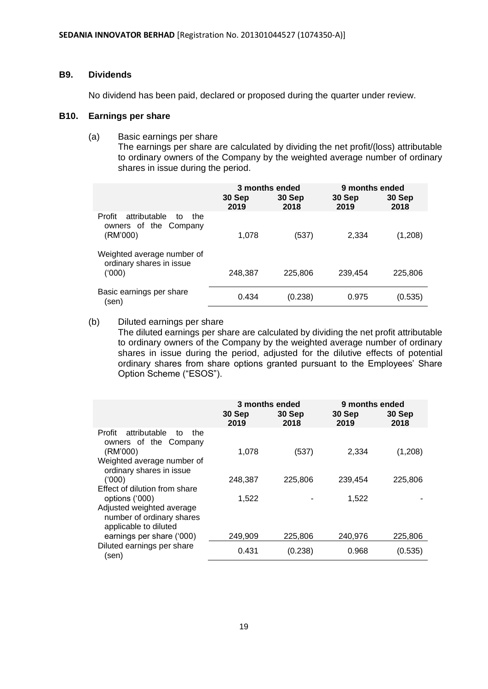## **B9. Dividends**

No dividend has been paid, declared or proposed during the quarter under review.

# **B10. Earnings per share**

(a) Basic earnings per share

The earnings per share are calculated by dividing the net profit/(loss) attributable to ordinary owners of the Company by the weighted average number of ordinary shares in issue during the period.

|                                                                          | 30 Sep<br>2019 | 3 months ended<br>30 Sep<br>2018 | 9 months ended<br>30 Sep<br>2019 | 30 Sep<br>2018 |
|--------------------------------------------------------------------------|----------------|----------------------------------|----------------------------------|----------------|
| attributable<br>Profit<br>the<br>to<br>owners of the Company<br>(RM'000) | 1,078          | (537)                            | 2,334                            | (1,208)        |
| Weighted average number of<br>ordinary shares in issue<br>(000)          | 248,387        | 225,806                          | 239,454                          | 225,806        |
| Basic earnings per share<br>(sen)                                        | 0.434          | (0.238)                          | 0.975                            | (0.535)        |

(b) Diluted earnings per share

The diluted earnings per share are calculated by dividing the net profit attributable to ordinary owners of the Company by the weighted average number of ordinary shares in issue during the period, adjusted for the dilutive effects of potential ordinary shares from share options granted pursuant to the Employees' Share Option Scheme ("ESOS").

|                                                                                                        | 30 Sep<br>2019 | 3 months ended<br>30 Sep<br>2018 | 9 months ended<br>30 Sep<br>2019 | 30 Sep<br>2018 |
|--------------------------------------------------------------------------------------------------------|----------------|----------------------------------|----------------------------------|----------------|
| attributable<br>Profit<br>to<br>the<br>owners of the Company<br>(RM'000)<br>Weighted average number of | 1,078          | (537)                            | 2,334                            | (1,208)        |
| ordinary shares in issue<br>(000)<br>Effect of dilution from share                                     | 248,387        | 225,806                          | 239,454                          | 225,806        |
| options ('000)<br>Adjusted weighted average<br>number of ordinary shares<br>applicable to diluted      | 1,522          |                                  | 1,522                            |                |
| earnings per share ('000)                                                                              | 249,909        | 225,806                          | 240.976                          | 225,806        |
| Diluted earnings per share<br>(sen)                                                                    | 0.431          | (0.238)                          | 0.968                            | (0.535)        |